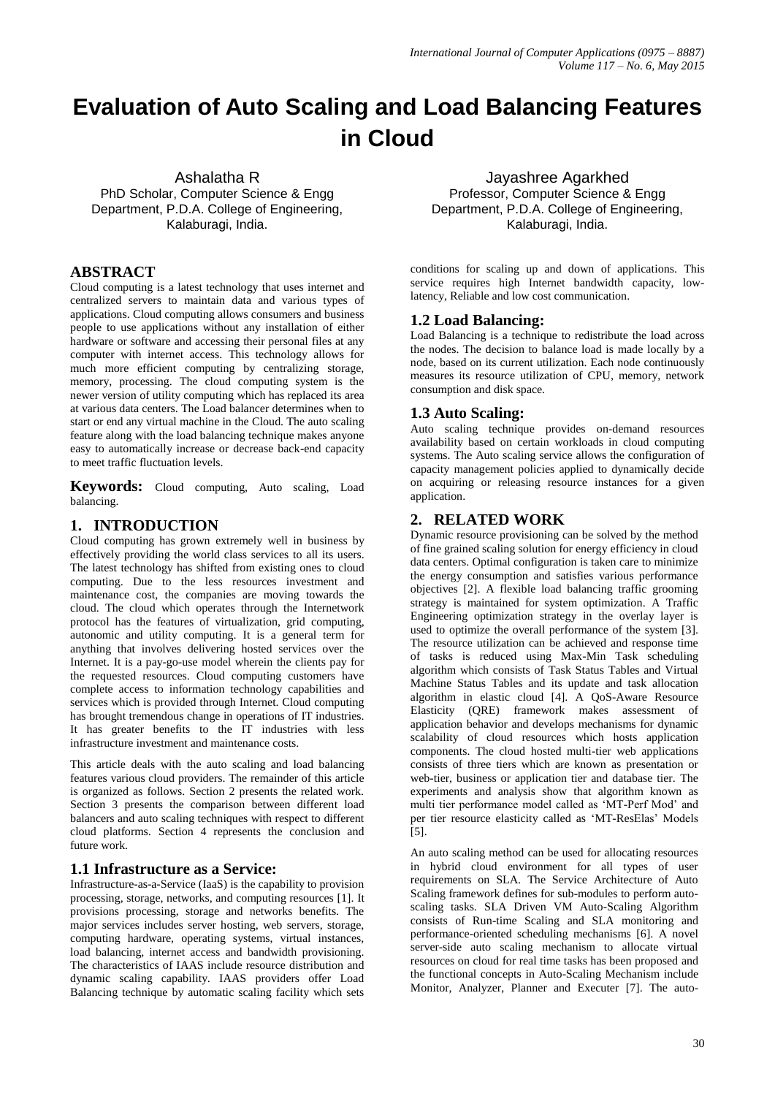# **Evaluation of Auto Scaling and Load Balancing Features in Cloud**

Ashalatha R PhD Scholar, Computer Science & Engg Department, P.D.A. College of Engineering, Kalaburagi, India.

## **ABSTRACT**

Cloud computing is a latest technology that uses internet and centralized servers to maintain data and various types of applications. Cloud computing allows consumers and business people to use applications without any installation of either hardware or software and accessing their personal files at any computer with internet access. This technology allows for much more efficient computing by centralizing storage, memory, processing. The cloud computing system is the newer version of utility computing which has replaced its area at various data centers. The Load balancer determines when to start or end any virtual machine in the Cloud. The auto scaling feature along with the load balancing technique makes anyone easy to automatically increase or decrease back-end capacity to meet traffic fluctuation levels.

**Keywords:** Cloud computing, Auto scaling, Load balancing.

## **1. INTRODUCTION**

Cloud computing has grown extremely well in business by effectively providing the world class services to all its users. The latest technology has shifted from existing ones to cloud computing. Due to the less resources investment and maintenance cost, the companies are moving towards the cloud. The cloud which operates through the Internetwork protocol has the features of virtualization, grid computing, autonomic and utility computing. It is a general term for anything that involves delivering hosted services over the Internet. It is a pay-go-use model wherein the clients pay for the requested resources. Cloud computing customers have complete access to information technology capabilities and services which is provided through Internet. Cloud computing has brought tremendous change in operations of IT industries. It has greater benefits to the IT industries with less infrastructure investment and maintenance costs.

This article deals with the auto scaling and load balancing features various cloud providers. The remainder of this article is organized as follows. Section 2 presents the related work. Section 3 presents the comparison between different load balancers and auto scaling techniques with respect to different cloud platforms. Section 4 represents the conclusion and future work.

## **1.1 Infrastructure as a Service:**

Infrastructure-as-a-Service (IaaS) is the capability to provision processing, storage, networks, and computing resources [1]. It provisions processing, storage and networks benefits. The major services includes server hosting, web servers, storage, computing hardware, operating systems, virtual instances, load balancing, internet access and bandwidth provisioning. The characteristics of IAAS include resource distribution and dynamic scaling capability. IAAS providers offer Load Balancing technique by automatic scaling facility which sets

Jayashree Agarkhed Professor, Computer Science & Engg Department, P.D.A. College of Engineering, Kalaburagi, India.

conditions for scaling up and down of applications. This service requires high Internet bandwidth capacity, lowlatency, Reliable and low cost communication.

## **1.2 Load Balancing:**

Load Balancing is a technique to redistribute the load across the nodes. The decision to balance load is made locally by a node, based on its current utilization. Each node continuously measures its resource utilization of CPU, memory, network consumption and disk space.

## **1.3 Auto Scaling:**

Auto scaling technique provides on-demand resources availability based on certain workloads in cloud computing systems. The Auto scaling service allows the configuration of capacity management policies applied to dynamically decide on acquiring or releasing resource instances for a given application.

## **2. RELATED WORK**

Dynamic resource provisioning can be solved by the method of fine grained scaling solution for energy efficiency in cloud data centers. Optimal configuration is taken care to minimize the energy consumption and satisfies various performance objectives [2]. A flexible load balancing traffic grooming strategy is maintained for system optimization. A Traffic Engineering optimization strategy in the overlay layer is used to optimize the overall performance of the system [3]. The resource utilization can be achieved and response time of tasks is reduced using Max-Min Task scheduling algorithm which consists of Task Status Tables and Virtual Machine Status Tables and its update and task allocation algorithm in elastic cloud [4]. A QoS-Aware Resource Elasticity (QRE) framework makes assessment of application behavior and develops mechanisms for dynamic scalability of cloud resources which hosts application components. The cloud hosted multi-tier web applications consists of three tiers which are known as presentation or web-tier, business or application tier and database tier. The experiments and analysis show that algorithm known as multi tier performance model called as "MT-Perf Mod" and per tier resource elasticity called as "MT-ResElas" Models [5].

An auto scaling method can be used for allocating resources in hybrid cloud environment for all types of user requirements on SLA. The Service Architecture of Auto Scaling framework defines for sub-modules to perform autoscaling tasks. SLA Driven VM Auto-Scaling Algorithm consists of Run-time Scaling and SLA monitoring and performance-oriented scheduling mechanisms [6]. A novel server-side auto scaling mechanism to allocate virtual resources on cloud for real time tasks has been proposed and the functional concepts in Auto-Scaling Mechanism include Monitor, Analyzer, Planner and Executer [7]. The auto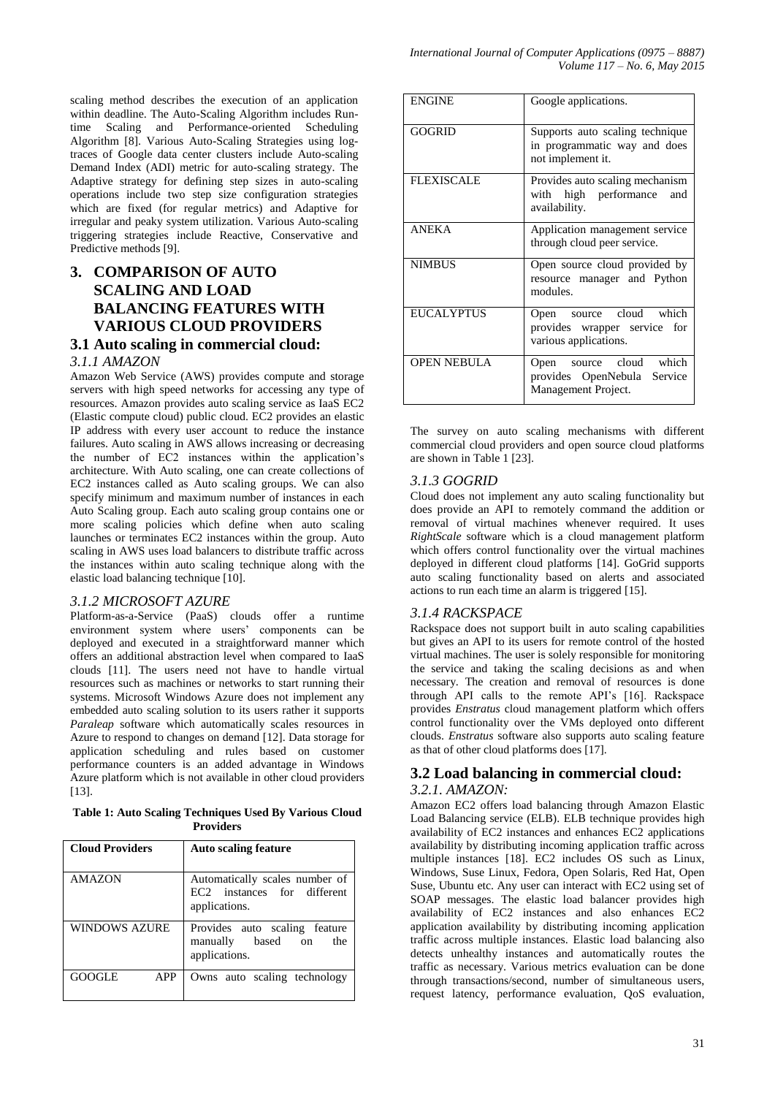scaling method describes the execution of an application within deadline. The Auto-Scaling Algorithm includes Runtime Scaling and Performance-oriented Scheduling Algorithm [8]. Various Auto-Scaling Strategies using logtraces of Google data center clusters include Auto-scaling Demand Index (ADI) metric for auto-scaling strategy. The Adaptive strategy for defining step sizes in auto-scaling operations include two step size configuration strategies which are fixed (for regular metrics) and Adaptive for irregular and peaky system utilization. Various Auto-scaling triggering strategies include Reactive, Conservative and Predictive methods [9].

## **3. COMPARISON OF AUTO SCALING AND LOAD BALANCING FEATURES WITH VARIOUS CLOUD PROVIDERS**

## **3.1 Auto scaling in commercial cloud:**

#### *3.1.1 AMAZON*

Amazon Web Service (AWS) provides compute and storage servers with high speed networks for accessing any type of resources. Amazon provides auto scaling service as IaaS EC2 (Elastic compute cloud) public cloud. EC2 provides an elastic IP address with every user account to reduce the instance failures. Auto scaling in AWS allows increasing or decreasing the number of EC2 instances within the application"s architecture. With Auto scaling, one can create collections of EC2 instances called as Auto scaling groups. We can also specify minimum and maximum number of instances in each Auto Scaling group. Each auto scaling group contains one or more scaling policies which define when auto scaling launches or terminates EC2 instances within the group. Auto scaling in AWS uses load balancers to distribute traffic across the instances within auto scaling technique along with the elastic load balancing technique [10].

#### *3.1.2 MICROSOFT AZURE*

Platform-as-a-Service (PaaS) clouds offer a runtime environment system where users" components can be deployed and executed in a straightforward manner which offers an additional abstraction level when compared to IaaS clouds [11]. The users need not have to handle virtual resources such as machines or networks to start running their systems. Microsoft Windows Azure does not implement any embedded auto scaling solution to its users rather it supports *Paraleap* software which automatically scales resources in Azure to respond to changes on demand [12]. Data storage for application scheduling and rules based on customer performance counters is an added advantage in Windows Azure platform which is not available in other cloud providers [13].

**Table 1: Auto Scaling Techniques Used By Various Cloud Providers**

| <b>Cloud Providers</b> | <b>Auto scaling feature</b>                                                    |
|------------------------|--------------------------------------------------------------------------------|
| <b>AMAZON</b>          | Automatically scales number of<br>EC2 instances for different<br>applications. |
| WINDOWS AZURE          | Provides auto scaling feature<br>manually based on<br>the<br>applications.     |
| APP<br>GOOGLE          | Owns auto scaling technology                                                   |

| <b>ENGINE</b>      | Google applications.                                                                 |
|--------------------|--------------------------------------------------------------------------------------|
| <b>GOGRID</b>      | Supports auto scaling technique<br>in programmatic way and does<br>not implement it. |
| <b>FLEXISCALE</b>  | Provides auto scaling mechanism<br>with high performance<br>and<br>availability.     |
| <b>ANEKA</b>       | Application management service<br>through cloud peer service.                        |
| <b>NIMBUS</b>      | Open source cloud provided by<br>resource manager and Python<br>modules.             |
| <b>EUCALYPTUS</b>  | Open source cloud which<br>provides wrapper service for<br>various applications.     |
| <b>OPEN NEBULA</b> | source cloud which<br>Open<br>provides OpenNebula Service<br>Management Project.     |

The survey on auto scaling mechanisms with different commercial cloud providers and open source cloud platforms are shown in Table 1 [23].

#### *3.1.3 GOGRID*

Cloud does not implement any auto scaling functionality but does provide an API to remotely command the addition or removal of virtual machines whenever required. It uses *RightScale* software which is a cloud management platform which offers control functionality over the virtual machines deployed in different cloud platforms [14]. GoGrid supports auto scaling functionality based on alerts and associated actions to run each time an alarm is triggered [15].

#### *3.1.4 RACKSPACE*

Rackspace does not support built in auto scaling capabilities but gives an API to its users for remote control of the hosted virtual machines. The user is solely responsible for monitoring the service and taking the scaling decisions as and when necessary. The creation and removal of resources is done through API calls to the remote API"s [16]. Rackspace provides *Enstratus* cloud management platform which offers control functionality over the VMs deployed onto different clouds. *Enstratus* software also supports auto scaling feature as that of other cloud platforms does [17].

### **3.2 Load balancing in commercial cloud:** *3.2.1. AMAZON:*

Amazon EC2 offers load balancing through Amazon Elastic Load Balancing service (ELB). ELB technique provides high availability of EC2 instances and enhances EC2 applications availability by distributing incoming application traffic across multiple instances [18]. EC2 includes OS such as Linux, Windows, Suse Linux, Fedora, Open Solaris, Red Hat, Open Suse, Ubuntu etc. Any user can interact with EC2 using set of SOAP messages. The elastic load balancer provides high availability of EC2 instances and also enhances EC2 application availability by distributing incoming application traffic across multiple instances. Elastic load balancing also detects unhealthy instances and automatically routes the traffic as necessary. Various metrics evaluation can be done through transactions/second, number of simultaneous users, request latency, performance evaluation, QoS evaluation,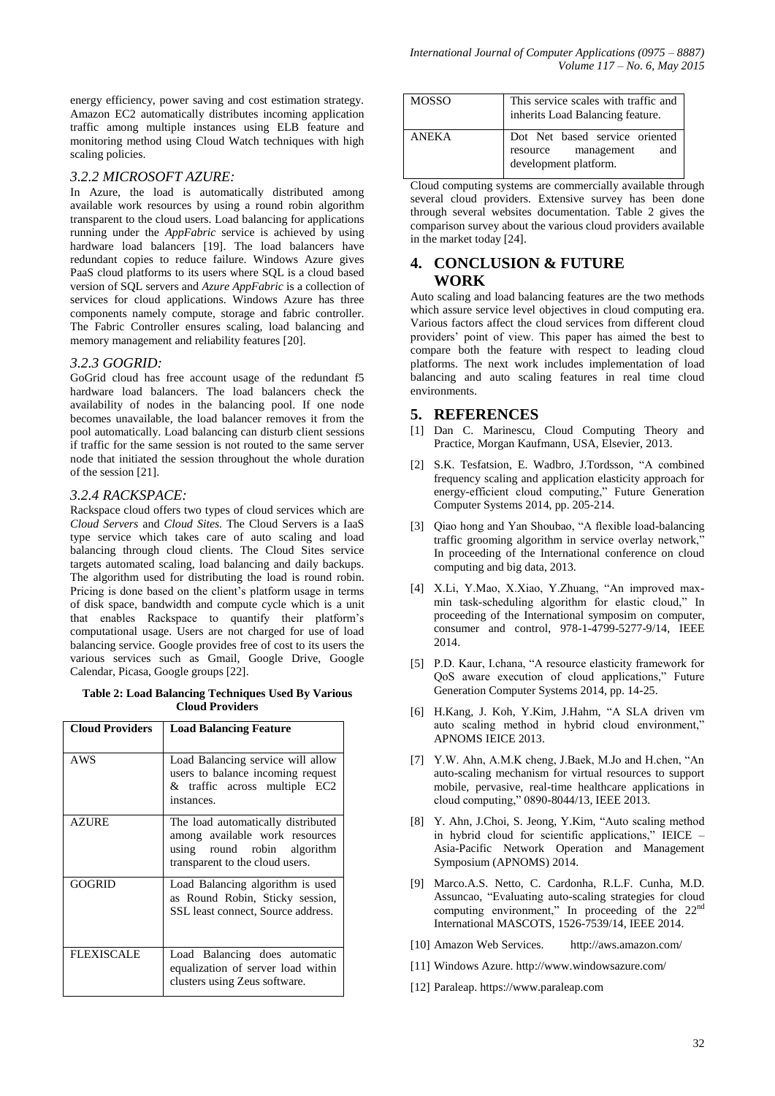energy efficiency, power saving and cost estimation strategy. Amazon EC2 automatically distributes incoming application traffic among multiple instances using ELB feature and monitoring method using Cloud Watch techniques with high scaling policies.

#### *3.2.2 MICROSOFT AZURE:*

In Azure, the load is automatically distributed among available work resources by using a round robin algorithm transparent to the cloud users. Load balancing for applications running under the *AppFabric* service is achieved by using hardware load balancers [19]. The load balancers have redundant copies to reduce failure. Windows Azure gives PaaS cloud platforms to its users where SQL is a cloud based version of SQL servers and *Azure AppFabric* is a collection of services for cloud applications. Windows Azure has three components namely compute, storage and fabric controller. The Fabric Controller ensures scaling, load balancing and memory management and reliability features [20].

#### *3.2.3 GOGRID:*

GoGrid cloud has free account usage of the redundant f5 hardware load balancers. The load balancers check the availability of nodes in the balancing pool. If one node becomes unavailable, the load balancer removes it from the pool automatically. Load balancing can disturb client sessions if traffic for the same session is not routed to the same server node that initiated the session throughout the whole duration of the session [21].

#### *3.2.4 RACKSPACE:*

Rackspace cloud offers two types of cloud services which are *Cloud Servers* and *Cloud Sites.* The Cloud Servers is a IaaS type service which takes care of auto scaling and load balancing through cloud clients. The Cloud Sites service targets automated scaling, load balancing and daily backups. The algorithm used for distributing the load is round robin. Pricing is done based on the client"s platform usage in terms of disk space, bandwidth and compute cycle which is a unit that enables Rackspace to quantify their platform"s computational usage. Users are not charged for use of load balancing service. Google provides free of cost to its users the various services such as Gmail, Google Drive, Google Calendar, Picasa, Google groups [22].

**Table 2: Load Balancing Techniques Used By Various Cloud Providers**

| <b>Cloud Providers</b> | <b>Load Balancing Feature</b>                                                                                                          |  |
|------------------------|----------------------------------------------------------------------------------------------------------------------------------------|--|
| <b>AWS</b>             | Load Balancing service will allow<br>users to balance incoming request<br>& traffic across multiple EC2<br>instances.                  |  |
| <b>AZURE</b>           | The load automatically distributed<br>among available work resources<br>using round robin algorithm<br>transparent to the cloud users. |  |
| <b>GOGRID</b>          | Load Balancing algorithm is used<br>as Round Robin, Sticky session,<br>SSL least connect, Source address.                              |  |
| <b>FLEXISCALE</b>      | Load Balancing does automatic<br>equalization of server load within<br>clusters using Zeus software.                                   |  |

| <b>MOSSO</b> | This service scales with traffic and<br>inherits Load Balancing feature.              |
|--------------|---------------------------------------------------------------------------------------|
| <b>ANEKA</b> | Dot Net based service oriented<br>resource management<br>and<br>development platform. |

Cloud computing systems are commercially available through several cloud providers. Extensive survey has been done through several websites documentation. Table 2 gives the comparison survey about the various cloud providers available in the market today [24].

## **4. CONCLUSION & FUTURE WORK**

Auto scaling and load balancing features are the two methods which assure service level objectives in cloud computing era. Various factors affect the cloud services from different cloud providers" point of view. This paper has aimed the best to compare both the feature with respect to leading cloud platforms. The next work includes implementation of load balancing and auto scaling features in real time cloud environments.

#### **5. REFERENCES**

- [1] Dan C. Marinescu, Cloud Computing Theory and Practice, Morgan Kaufmann, USA, Elsevier, 2013.
- [2] S.K. Tesfatsion, E. Wadbro, J.Tordsson, "A combined frequency scaling and application elasticity approach for energy-efficient cloud computing," Future Generation Computer Systems 2014, pp. 205-214.
- [3] Qiao hong and Yan Shoubao, "A flexible load-balancing traffic grooming algorithm in service overlay network," In proceeding of the International conference on cloud computing and big data, 2013.
- [4] X.Li, Y.Mao, X.Xiao, Y.Zhuang, "An improved maxmin task-scheduling algorithm for elastic cloud," In proceeding of the International symposim on computer, consumer and control, 978-1-4799-5277-9/14, IEEE 2014.
- [5] P.D. Kaur, I.chana, "A resource elasticity framework for QoS aware execution of cloud applications," Future Generation Computer Systems 2014, pp. 14-25.
- [6] H.Kang, J. Koh, Y.Kim, J.Hahm, "A SLA driven vm auto scaling method in hybrid cloud environment," APNOMS IEICE 2013.
- [7] Y.W. Ahn, A.M.K cheng, J.Baek, M.Jo and H.chen, "An auto-scaling mechanism for virtual resources to support mobile, pervasive, real-time healthcare applications in cloud computing," 0890-8044/13, IEEE 2013.
- [8] Y. Ahn, J.Choi, S. Jeong, Y.Kim, "Auto scaling method in hybrid cloud for scientific applications," IEICE – Asia-Pacific Network Operation and Management Symposium (APNOMS) 2014.
- [9] Marco.A.S. Netto, C. Cardonha, R.L.F. Cunha, M.D. Assuncao, "Evaluating auto-scaling strategies for cloud computing environment," In proceeding of the 22nd International MASCOTS, 1526-7539/14, IEEE 2014.
- [10] Amazon Web Services. http://aws.amazon.com/
- [11] Windows Azure. http://www.windowsazure.com/
- [12] Paraleap. https://www.paraleap.com